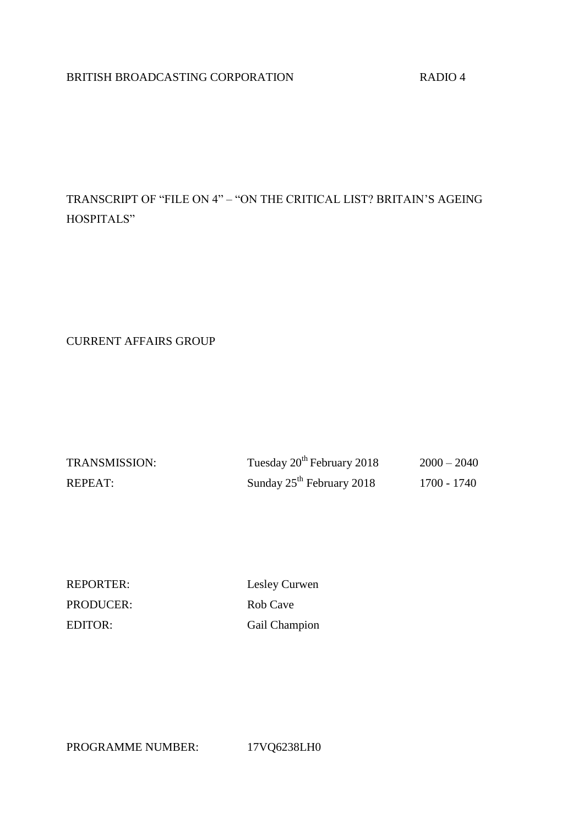# BRITISH BROADCASTING CORPORATION RADIO 4

TRANSCRIPT OF "FILE ON 4" – "ON THE CRITICAL LIST? BRITAIN'S AGEING HOSPITALS"

CURRENT AFFAIRS GROUP

| <b>TRANSMISSION:</b> | Tuesday 20 <sup>th</sup> February 2018 | $2000 - 2040$ |
|----------------------|----------------------------------------|---------------|
| REPEAT:              | Sunday $25th$ February 2018            | 1700 - 1740   |

PRODUCER: Rob Cave

REPORTER: Lesley Curwen EDITOR: Gail Champion

PROGRAMME NUMBER: 17VQ6238LH0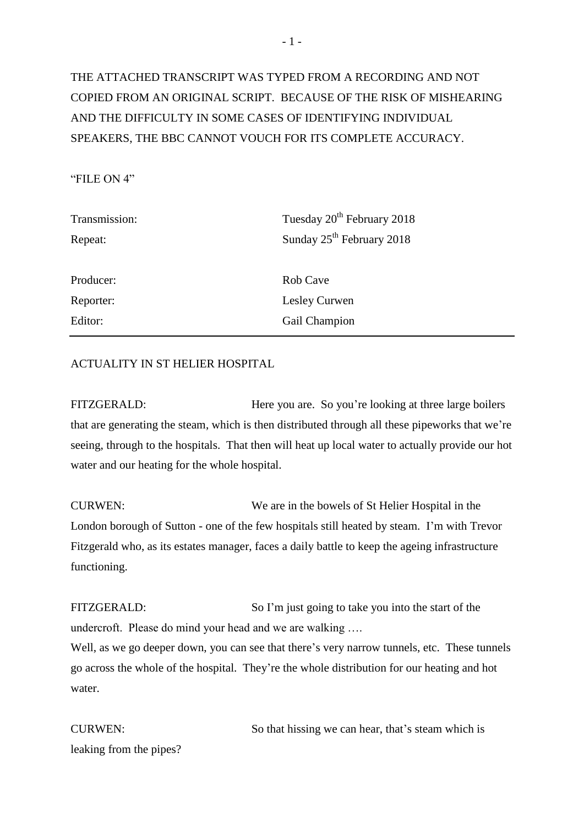# THE ATTACHED TRANSCRIPT WAS TYPED FROM A RECORDING AND NOT COPIED FROM AN ORIGINAL SCRIPT. BECAUSE OF THE RISK OF MISHEARING AND THE DIFFICULTY IN SOME CASES OF IDENTIFYING INDIVIDUAL SPEAKERS, THE BBC CANNOT VOUCH FOR ITS COMPLETE ACCURACY.

### "FILE ON 4"

| Tuesday 20 <sup>th</sup> February 2018 |
|----------------------------------------|
| Sunday 25 <sup>th</sup> February 2018  |
|                                        |
| Rob Cave                               |
| Lesley Curwen                          |
| Gail Champion                          |
|                                        |

# ACTUALITY IN ST HELIER HOSPITAL

FITZGERALD: Here you are. So you're looking at three large boilers that are generating the steam, which is then distributed through all these pipeworks that we're seeing, through to the hospitals. That then will heat up local water to actually provide our hot water and our heating for the whole hospital.

CURWEN: We are in the bowels of St Helier Hospital in the London borough of Sutton - one of the few hospitals still heated by steam. I'm with Trevor Fitzgerald who, as its estates manager, faces a daily battle to keep the ageing infrastructure functioning.

FITZGERALD: So I'm just going to take you into the start of the undercroft. Please do mind your head and we are walking ….

Well, as we go deeper down, you can see that there's very narrow tunnels, etc. These tunnels go across the whole of the hospital. They're the whole distribution for our heating and hot water.

CURWEN: So that hissing we can hear, that's steam which is leaking from the pipes?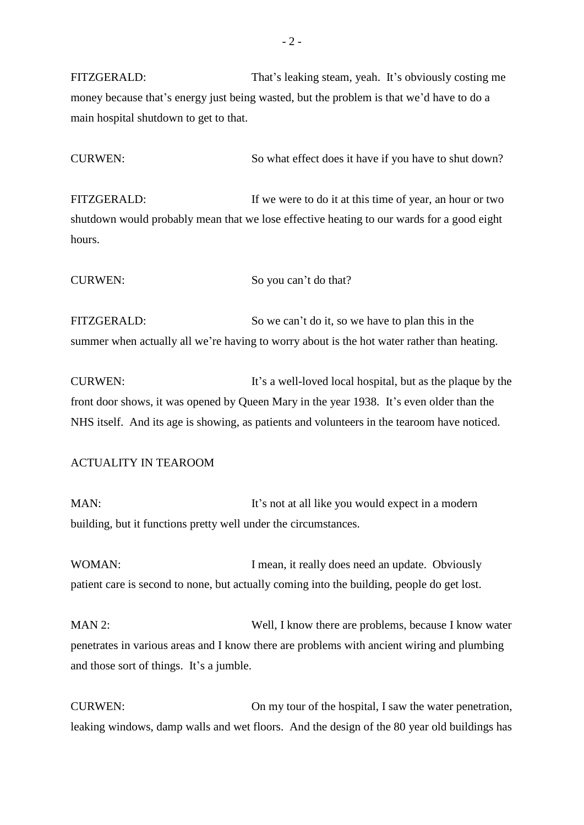FITZGERALD: That's leaking steam, yeah. It's obviously costing me money because that's energy just being wasted, but the problem is that we'd have to do a main hospital shutdown to get to that.

CURWEN: So what effect does it have if you have to shut down?

FITZGERALD: If we were to do it at this time of year, an hour or two shutdown would probably mean that we lose effective heating to our wards for a good eight hours.

CURWEN: So you can't do that?

FITZGERALD: So we can't do it, so we have to plan this in the summer when actually all we're having to worry about is the hot water rather than heating.

CURWEN: It's a well-loved local hospital, but as the plaque by the front door shows, it was opened by Queen Mary in the year 1938. It's even older than the NHS itself. And its age is showing, as patients and volunteers in the tearoom have noticed.

#### ACTUALITY IN TEAROOM

MAN: It's not at all like you would expect in a modern building, but it functions pretty well under the circumstances.

WOMAN: I mean, it really does need an update. Obviously patient care is second to none, but actually coming into the building, people do get lost.

MAN 2: Well, I know there are problems, because I know water penetrates in various areas and I know there are problems with ancient wiring and plumbing and those sort of things. It's a jumble.

CURWEN: On my tour of the hospital, I saw the water penetration, leaking windows, damp walls and wet floors. And the design of the 80 year old buildings has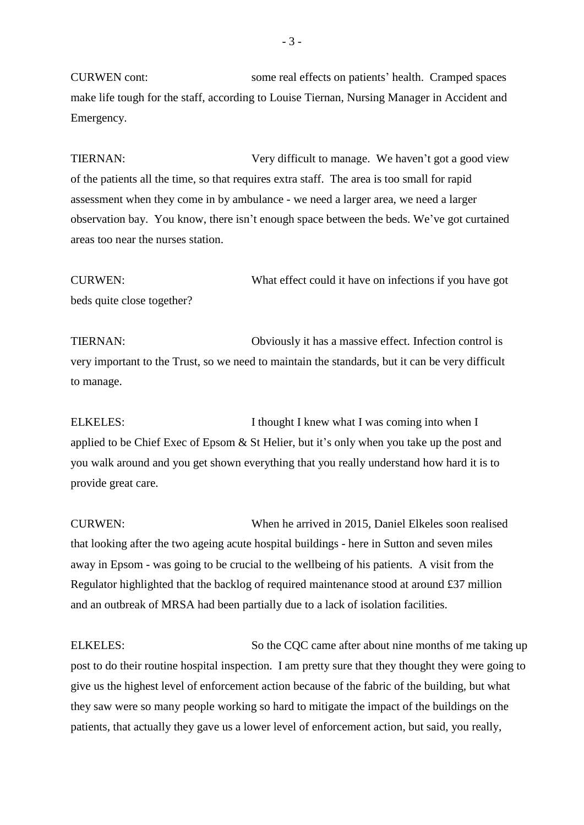CURWEN cont: some real effects on patients' health. Cramped spaces make life tough for the staff, according to Louise Tiernan, Nursing Manager in Accident and Emergency.

TIERNAN: Very difficult to manage. We haven't got a good view of the patients all the time, so that requires extra staff. The area is too small for rapid assessment when they come in by ambulance - we need a larger area, we need a larger observation bay. You know, there isn't enough space between the beds. We've got curtained areas too near the nurses station.

CURWEN: What effect could it have on infections if you have got beds quite close together?

TIERNAN: Obviously it has a massive effect. Infection control is very important to the Trust, so we need to maintain the standards, but it can be very difficult to manage.

ELKELES: I thought I knew what I was coming into when I applied to be Chief Exec of Epsom & St Helier, but it's only when you take up the post and you walk around and you get shown everything that you really understand how hard it is to provide great care.

CURWEN: When he arrived in 2015, Daniel Elkeles soon realised that looking after the two ageing acute hospital buildings - here in Sutton and seven miles away in Epsom - was going to be crucial to the wellbeing of his patients. A visit from the Regulator highlighted that the backlog of required maintenance stood at around £37 million and an outbreak of MRSA had been partially due to a lack of isolation facilities.

ELKELES: So the COC came after about nine months of me taking up post to do their routine hospital inspection. I am pretty sure that they thought they were going to give us the highest level of enforcement action because of the fabric of the building, but what they saw were so many people working so hard to mitigate the impact of the buildings on the patients, that actually they gave us a lower level of enforcement action, but said, you really,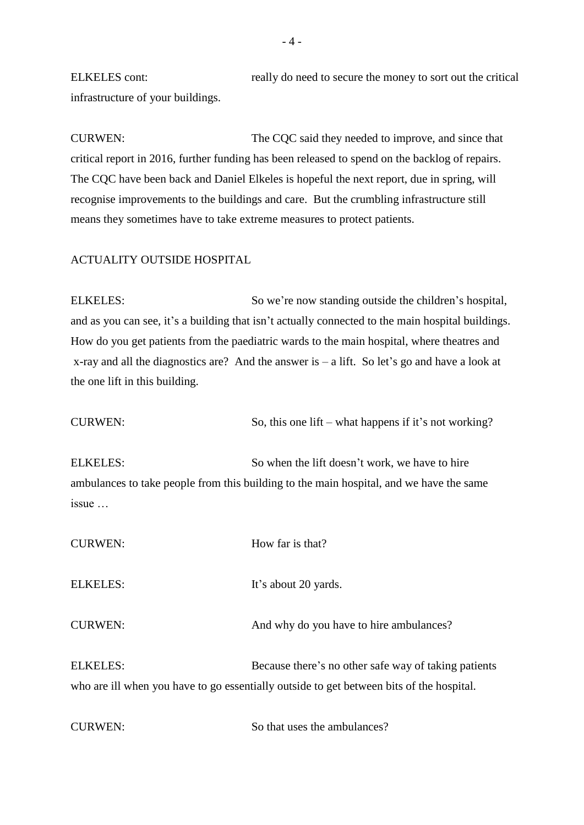ELKELES cont: really do need to secure the money to sort out the critical infrastructure of your buildings.

CURWEN: The CQC said they needed to improve, and since that critical report in 2016, further funding has been released to spend on the backlog of repairs. The CQC have been back and Daniel Elkeles is hopeful the next report, due in spring, will recognise improvements to the buildings and care. But the crumbling infrastructure still means they sometimes have to take extreme measures to protect patients.

# ACTUALITY OUTSIDE HOSPITAL

ELKELES: So we're now standing outside the children's hospital, and as you can see, it's a building that isn't actually connected to the main hospital buildings. How do you get patients from the paediatric wards to the main hospital, where theatres and x-ray and all the diagnostics are? And the answer is – a lift. So let's go and have a look at the one lift in this building.

| <b>CURWEN:</b>                   | So, this one lift – what happens if it's not working?                                                                                            |
|----------------------------------|--------------------------------------------------------------------------------------------------------------------------------------------------|
| <b>ELKELES:</b><br>$issue \dots$ | So when the lift doesn't work, we have to hire<br>ambulances to take people from this building to the main hospital, and we have the same        |
| <b>CURWEN:</b>                   | How far is that?                                                                                                                                 |
| <b>ELKELES:</b>                  | It's about 20 yards.                                                                                                                             |
| <b>CURWEN:</b>                   | And why do you have to hire ambulances?                                                                                                          |
| <b>ELKELES:</b>                  | Because there's no other safe way of taking patients<br>who are ill when you have to go essentially outside to get between bits of the hospital. |
| <b>CURWEN:</b>                   | So that uses the ambulances?                                                                                                                     |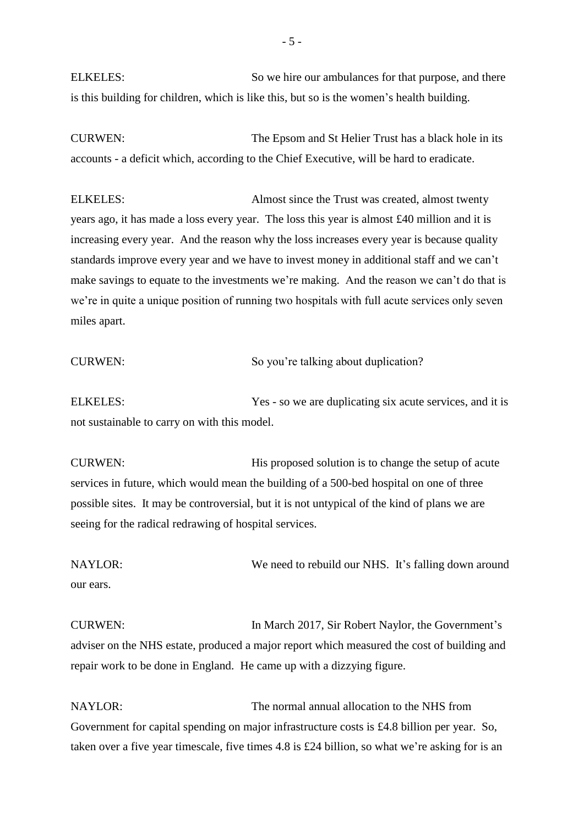ELKELES: So we hire our ambulances for that purpose, and there is this building for children, which is like this, but so is the women's health building.

CURWEN: The Epsom and St Helier Trust has a black hole in its accounts - a deficit which, according to the Chief Executive, will be hard to eradicate.

ELKELES: Almost since the Trust was created, almost twenty years ago, it has made a loss every year. The loss this year is almost £40 million and it is increasing every year. And the reason why the loss increases every year is because quality standards improve every year and we have to invest money in additional staff and we can't make savings to equate to the investments we're making. And the reason we can't do that is we're in quite a unique position of running two hospitals with full acute services only seven miles apart.

### CURWEN: So you're talking about duplication?

ELKELES: Yes - so we are duplicating six acute services, and it is not sustainable to carry on with this model.

CURWEN: His proposed solution is to change the setup of acute services in future, which would mean the building of a 500-bed hospital on one of three possible sites. It may be controversial, but it is not untypical of the kind of plans we are seeing for the radical redrawing of hospital services.

NAYLOR: We need to rebuild our NHS. It's falling down around our ears.

CURWEN: In March 2017, Sir Robert Naylor, the Government's adviser on the NHS estate, produced a major report which measured the cost of building and repair work to be done in England. He came up with a dizzying figure.

NAYLOR: The normal annual allocation to the NHS from Government for capital spending on major infrastructure costs is £4.8 billion per year. So, taken over a five year timescale, five times 4.8 is £24 billion, so what we're asking for is an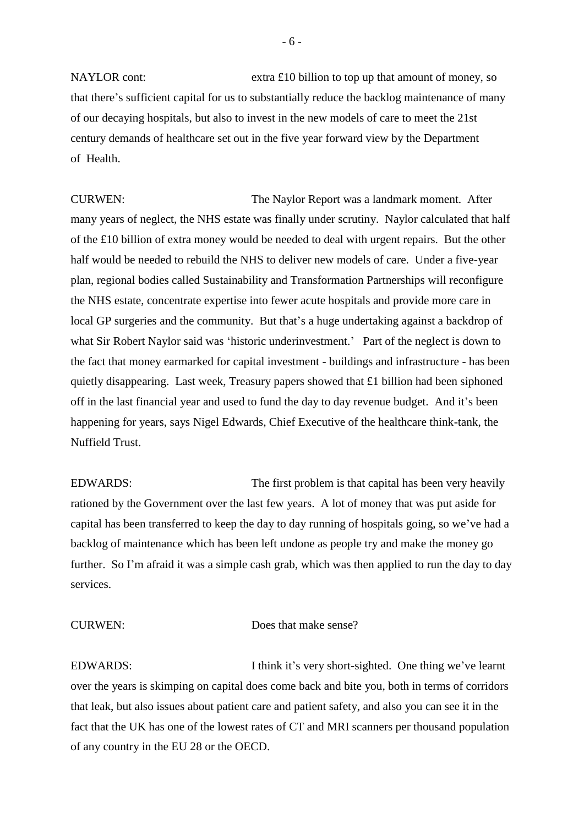NAYLOR cont: extra £10 billion to top up that amount of money, so that there's sufficient capital for us to substantially reduce the backlog maintenance of many of our decaying hospitals, but also to invest in the new models of care to meet the 21st century demands of healthcare set out in the five year forward view by the Department of Health.

CURWEN: The Naylor Report was a landmark moment. After many years of neglect, the NHS estate was finally under scrutiny. Naylor calculated that half of the £10 billion of extra money would be needed to deal with urgent repairs. But the other half would be needed to rebuild the NHS to deliver new models of care. Under a five-year plan, regional bodies called Sustainability and Transformation Partnerships will reconfigure the NHS estate, concentrate expertise into fewer acute hospitals and provide more care in local GP surgeries and the community. But that's a huge undertaking against a backdrop of what Sir Robert Naylor said was 'historic underinvestment.' Part of the neglect is down to the fact that money earmarked for capital investment - buildings and infrastructure - has been quietly disappearing. Last week, Treasury papers showed that £1 billion had been siphoned off in the last financial year and used to fund the day to day revenue budget. And it's been happening for years, says Nigel Edwards, Chief Executive of the healthcare think-tank, the Nuffield Trust.

EDWARDS: The first problem is that capital has been very heavily rationed by the Government over the last few years. A lot of money that was put aside for capital has been transferred to keep the day to day running of hospitals going, so we've had a backlog of maintenance which has been left undone as people try and make the money go further. So I'm afraid it was a simple cash grab, which was then applied to run the day to day services.

CURWEN: Does that make sense?

EDWARDS: I think it's very short-sighted. One thing we've learnt over the years is skimping on capital does come back and bite you, both in terms of corridors that leak, but also issues about patient care and patient safety, and also you can see it in the fact that the UK has one of the lowest rates of CT and MRI scanners per thousand population of any country in the EU 28 or the OECD.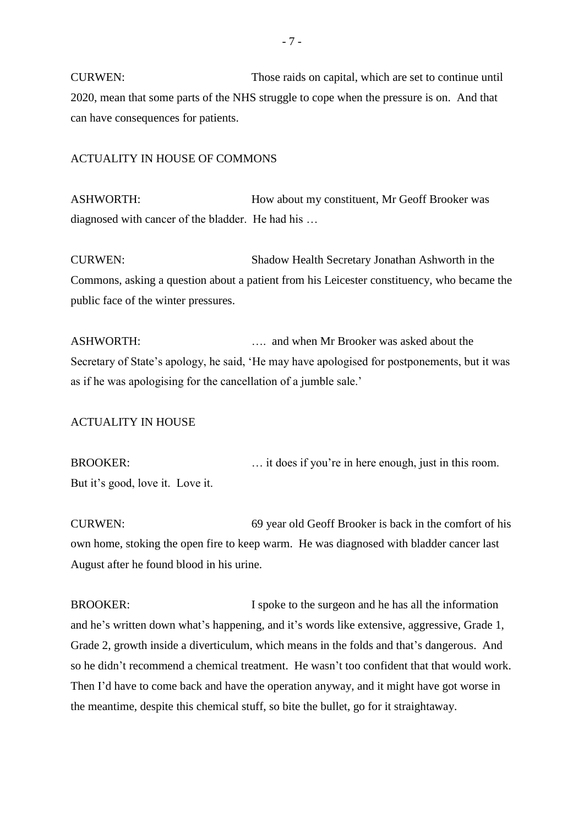CURWEN: Those raids on capital, which are set to continue until 2020, mean that some parts of the NHS struggle to cope when the pressure is on. And that can have consequences for patients.

#### ACTUALITY IN HOUSE OF COMMONS

ASHWORTH: How about my constituent, Mr Geoff Brooker was diagnosed with cancer of the bladder. He had his …

CURWEN: Shadow Health Secretary Jonathan Ashworth in the Commons, asking a question about a patient from his Leicester constituency, who became the public face of the winter pressures.

ASHWORTH: …. and when Mr Brooker was asked about the Secretary of State's apology, he said, 'He may have apologised for postponements, but it was as if he was apologising for the cancellation of a jumble sale.'

### ACTUALITY IN HOUSE

BROOKER: ... it does if you're in here enough, just in this room. But it's good, love it. Love it.

CURWEN: 69 year old Geoff Brooker is back in the comfort of his own home, stoking the open fire to keep warm. He was diagnosed with bladder cancer last August after he found blood in his urine.

BROOKER: I spoke to the surgeon and he has all the information and he's written down what's happening, and it's words like extensive, aggressive, Grade 1, Grade 2, growth inside a diverticulum, which means in the folds and that's dangerous. And so he didn't recommend a chemical treatment. He wasn't too confident that that would work. Then I'd have to come back and have the operation anyway, and it might have got worse in the meantime, despite this chemical stuff, so bite the bullet, go for it straightaway.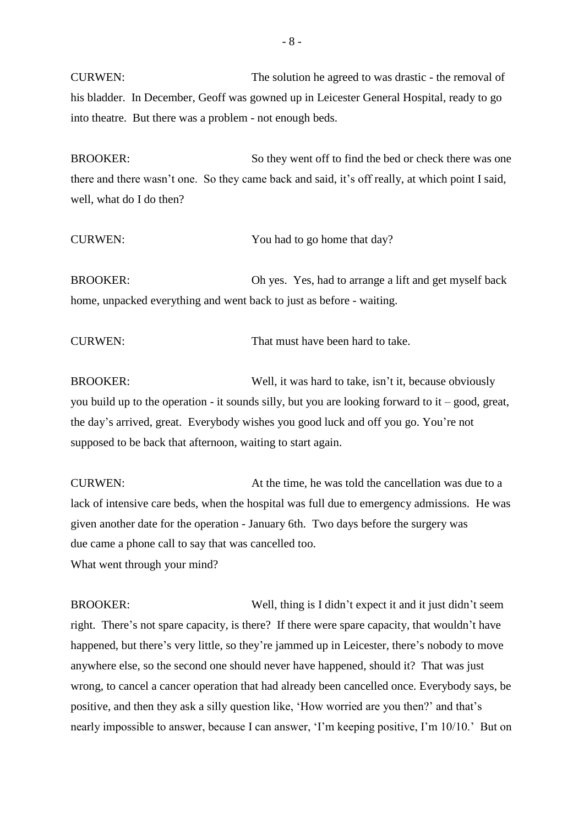CURWEN: The solution he agreed to was drastic - the removal of his bladder. In December, Geoff was gowned up in Leicester General Hospital, ready to go into theatre. But there was a problem - not enough beds.

BROOKER: So they went off to find the bed or check there was one there and there wasn't one. So they came back and said, it's off really, at which point I said, well, what do I do then?

| <b>CURWEN:</b>                                                       | You had to go home that day?                           |
|----------------------------------------------------------------------|--------------------------------------------------------|
| <b>BROOKER:</b>                                                      | Oh yes. Yes, had to arrange a lift and get myself back |
| home, unpacked everything and went back to just as before - waiting. |                                                        |

CURWEN: That must have been hard to take.

BROOKER: Well, it was hard to take, isn't it, because obviously you build up to the operation - it sounds silly, but you are looking forward to it – good, great, the day's arrived, great. Everybody wishes you good luck and off you go. You're not supposed to be back that afternoon, waiting to start again.

CURWEN: At the time, he was told the cancellation was due to a lack of intensive care beds, when the hospital was full due to emergency admissions. He was given another date for the operation - January 6th. Two days before the surgery was due came a phone call to say that was cancelled too. What went through your mind?

BROOKER: Well, thing is I didn't expect it and it just didn't seem right. There's not spare capacity, is there? If there were spare capacity, that wouldn't have happened, but there's very little, so they're jammed up in Leicester, there's nobody to move anywhere else, so the second one should never have happened, should it? That was just wrong, to cancel a cancer operation that had already been cancelled once. Everybody says, be positive, and then they ask a silly question like, 'How worried are you then?' and that's nearly impossible to answer, because I can answer, 'I'm keeping positive, I'm 10/10.' But on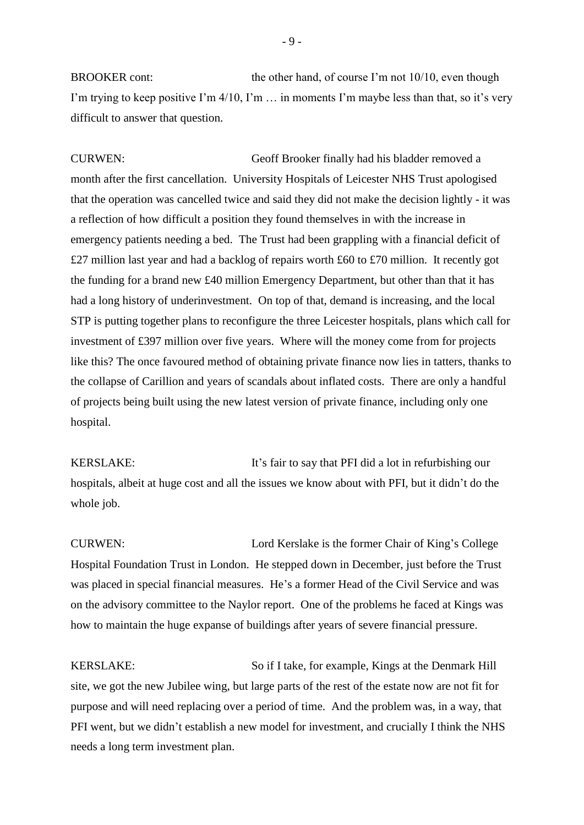BROOKER cont: the other hand, of course I'm not 10/10, even though I'm trying to keep positive I'm  $4/10$ , I'm  $\ldots$  in moments I'm maybe less than that, so it's very difficult to answer that question.

CURWEN: Geoff Brooker finally had his bladder removed a month after the first cancellation. University Hospitals of Leicester NHS Trust apologised that the operation was cancelled twice and said they did not make the decision lightly - it was a reflection of how difficult a position they found themselves in with the increase in emergency patients needing a bed. The Trust had been grappling with a financial deficit of £27 million last year and had a backlog of repairs worth £60 to £70 million. It recently got the funding for a brand new £40 million Emergency Department, but other than that it has had a long history of underinvestment. On top of that, demand is increasing, and the local STP is putting together plans to reconfigure the three Leicester hospitals, plans which call for investment of £397 million over five years. Where will the money come from for projects like this? The once favoured method of obtaining private finance now lies in tatters, thanks to the collapse of Carillion and years of scandals about inflated costs. There are only a handful of projects being built using the new latest version of private finance, including only one hospital.

KERSLAKE: It's fair to say that PFI did a lot in refurbishing our hospitals, albeit at huge cost and all the issues we know about with PFI, but it didn't do the whole job.

CURWEN: Lord Kerslake is the former Chair of King's College Hospital Foundation Trust in London. He stepped down in December, just before the Trust was placed in special financial measures. He's a former Head of the Civil Service and was on the advisory committee to the Naylor report. One of the problems he faced at Kings was how to maintain the huge expanse of buildings after years of severe financial pressure.

KERSLAKE: So if I take, for example, Kings at the Denmark Hill site, we got the new Jubilee wing, but large parts of the rest of the estate now are not fit for purpose and will need replacing over a period of time. And the problem was, in a way, that PFI went, but we didn't establish a new model for investment, and crucially I think the NHS needs a long term investment plan.

- 9 -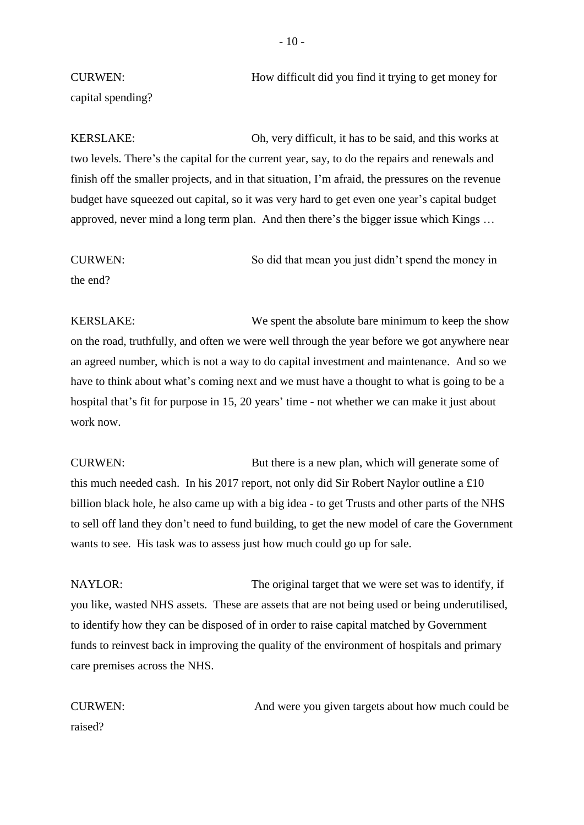CURWEN: How difficult did you find it trying to get money for capital spending?

KERSLAKE: Oh, very difficult, it has to be said, and this works at two levels. There's the capital for the current year, say, to do the repairs and renewals and finish off the smaller projects, and in that situation, I'm afraid, the pressures on the revenue budget have squeezed out capital, so it was very hard to get even one year's capital budget approved, never mind a long term plan. And then there's the bigger issue which Kings …

CURWEN: So did that mean you just didn't spend the money in

the end?

KERSLAKE: We spent the absolute bare minimum to keep the show on the road, truthfully, and often we were well through the year before we got anywhere near an agreed number, which is not a way to do capital investment and maintenance. And so we have to think about what's coming next and we must have a thought to what is going to be a hospital that's fit for purpose in 15, 20 years' time - not whether we can make it just about work now.

CURWEN: But there is a new plan, which will generate some of this much needed cash. In his 2017 report, not only did Sir Robert Naylor outline a £10 billion black hole, he also came up with a big idea - to get Trusts and other parts of the NHS to sell off land they don't need to fund building, to get the new model of care the Government wants to see. His task was to assess just how much could go up for sale.

NAYLOR: The original target that we were set was to identify, if you like, wasted NHS assets. These are assets that are not being used or being underutilised, to identify how they can be disposed of in order to raise capital matched by Government funds to reinvest back in improving the quality of the environment of hospitals and primary care premises across the NHS.

CURWEN: And were you given targets about how much could be raised?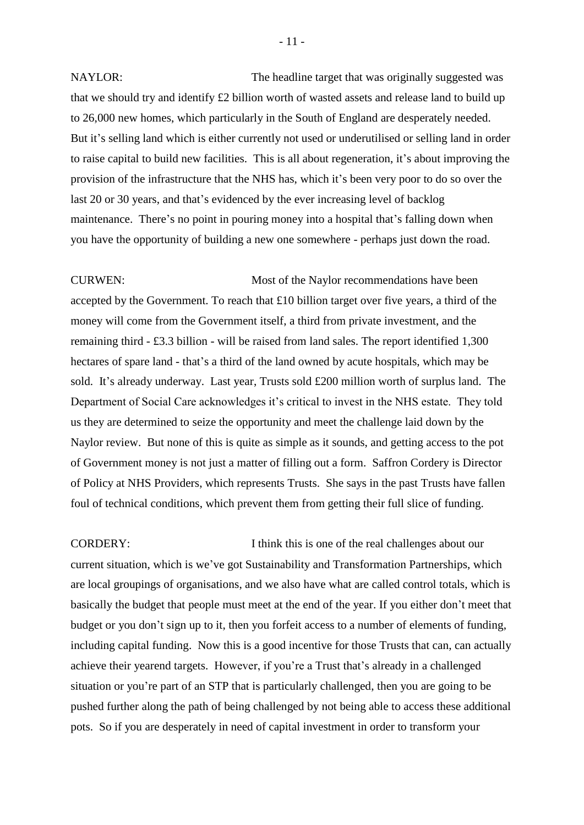NAYLOR: The headline target that was originally suggested was that we should try and identify £2 billion worth of wasted assets and release land to build up to 26,000 new homes, which particularly in the South of England are desperately needed. But it's selling land which is either currently not used or underutilised or selling land in order to raise capital to build new facilities. This is all about regeneration, it's about improving the provision of the infrastructure that the NHS has, which it's been very poor to do so over the last 20 or 30 years, and that's evidenced by the ever increasing level of backlog maintenance. There's no point in pouring money into a hospital that's falling down when you have the opportunity of building a new one somewhere - perhaps just down the road.

CURWEN: Most of the Naylor recommendations have been accepted by the Government. To reach that £10 billion target over five years, a third of the money will come from the Government itself, a third from private investment, and the remaining third - £3.3 billion - will be raised from land sales. The report identified 1,300 hectares of spare land - that's a third of the land owned by acute hospitals, which may be sold. It's already underway. Last year, Trusts sold £200 million worth of surplus land. The Department of Social Care acknowledges it's critical to invest in the NHS estate. They told us they are determined to seize the opportunity and meet the challenge laid down by the Naylor review. But none of this is quite as simple as it sounds, and getting access to the pot of Government money is not just a matter of filling out a form. Saffron Cordery is Director of Policy at NHS Providers, which represents Trusts. She says in the past Trusts have fallen foul of technical conditions, which prevent them from getting their full slice of funding.

CORDERY: I think this is one of the real challenges about our current situation, which is we've got Sustainability and Transformation Partnerships, which are local groupings of organisations, and we also have what are called control totals, which is basically the budget that people must meet at the end of the year. If you either don't meet that budget or you don't sign up to it, then you forfeit access to a number of elements of funding, including capital funding. Now this is a good incentive for those Trusts that can, can actually achieve their yearend targets. However, if you're a Trust that's already in a challenged situation or you're part of an STP that is particularly challenged, then you are going to be pushed further along the path of being challenged by not being able to access these additional pots. So if you are desperately in need of capital investment in order to transform your

- 11 -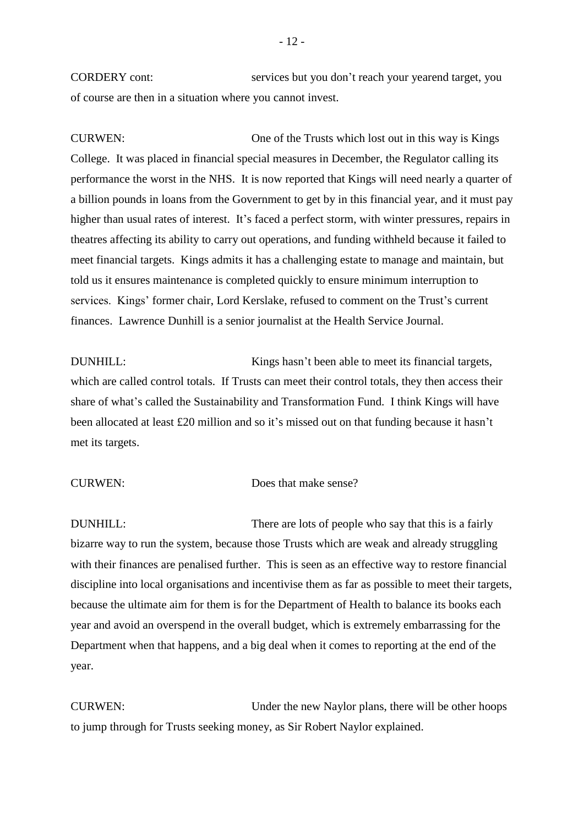CORDERY cont: services but you don't reach your yearend target, you of course are then in a situation where you cannot invest.

CURWEN: One of the Trusts which lost out in this way is Kings College. It was placed in financial special measures in December, the Regulator calling its performance the worst in the NHS. It is now reported that Kings will need nearly a quarter of a billion pounds in loans from the Government to get by in this financial year, and it must pay higher than usual rates of interest. It's faced a perfect storm, with winter pressures, repairs in theatres affecting its ability to carry out operations, and funding withheld because it failed to meet financial targets. Kings admits it has a challenging estate to manage and maintain, but told us it ensures maintenance is completed quickly to ensure minimum interruption to services. Kings' former chair, Lord Kerslake, refused to comment on the Trust's current finances. Lawrence Dunhill is a senior journalist at the Health Service Journal.

DUNHILL: Kings hasn't been able to meet its financial targets, which are called control totals. If Trusts can meet their control totals, they then access their share of what's called the Sustainability and Transformation Fund. I think Kings will have been allocated at least £20 million and so it's missed out on that funding because it hasn't met its targets.

### CURWEN: Does that make sense?

DUNHILL: There are lots of people who say that this is a fairly bizarre way to run the system, because those Trusts which are weak and already struggling with their finances are penalised further. This is seen as an effective way to restore financial discipline into local organisations and incentivise them as far as possible to meet their targets, because the ultimate aim for them is for the Department of Health to balance its books each year and avoid an overspend in the overall budget, which is extremely embarrassing for the Department when that happens, and a big deal when it comes to reporting at the end of the year.

CURWEN: Under the new Naylor plans, there will be other hoops to jump through for Trusts seeking money, as Sir Robert Naylor explained.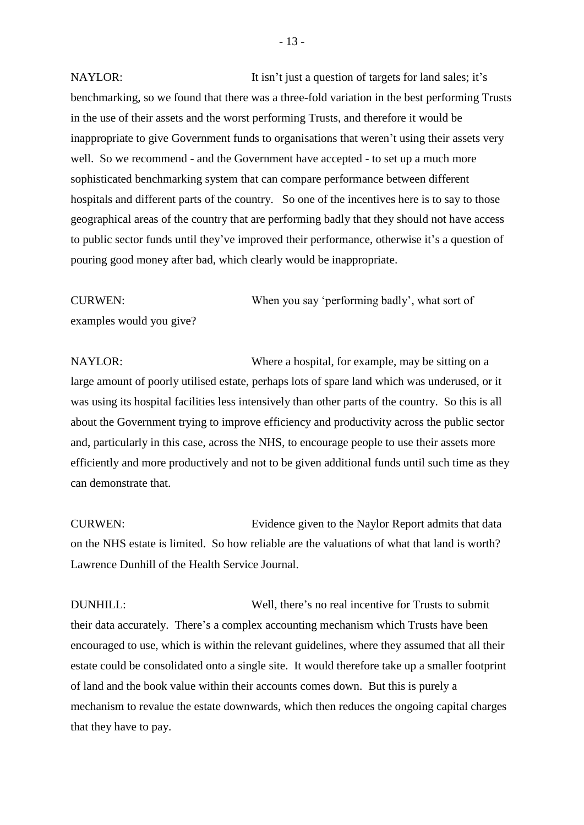NAYLOR: It isn't just a question of targets for land sales; it's benchmarking, so we found that there was a three-fold variation in the best performing Trusts in the use of their assets and the worst performing Trusts, and therefore it would be inappropriate to give Government funds to organisations that weren't using their assets very well. So we recommend - and the Government have accepted - to set up a much more sophisticated benchmarking system that can compare performance between different hospitals and different parts of the country. So one of the incentives here is to say to those geographical areas of the country that are performing badly that they should not have access to public sector funds until they've improved their performance, otherwise it's a question of pouring good money after bad, which clearly would be inappropriate.

CURWEN: When you say 'performing badly', what sort of examples would you give?

NAYLOR: Where a hospital, for example, may be sitting on a large amount of poorly utilised estate, perhaps lots of spare land which was underused, or it was using its hospital facilities less intensively than other parts of the country. So this is all about the Government trying to improve efficiency and productivity across the public sector and, particularly in this case, across the NHS, to encourage people to use their assets more efficiently and more productively and not to be given additional funds until such time as they can demonstrate that.

CURWEN: Evidence given to the Naylor Report admits that data on the NHS estate is limited. So how reliable are the valuations of what that land is worth? Lawrence Dunhill of the Health Service Journal.

DUNHILL: Well, there's no real incentive for Trusts to submit their data accurately. There's a complex accounting mechanism which Trusts have been encouraged to use, which is within the relevant guidelines, where they assumed that all their estate could be consolidated onto a single site. It would therefore take up a smaller footprint of land and the book value within their accounts comes down. But this is purely a mechanism to revalue the estate downwards, which then reduces the ongoing capital charges that they have to pay.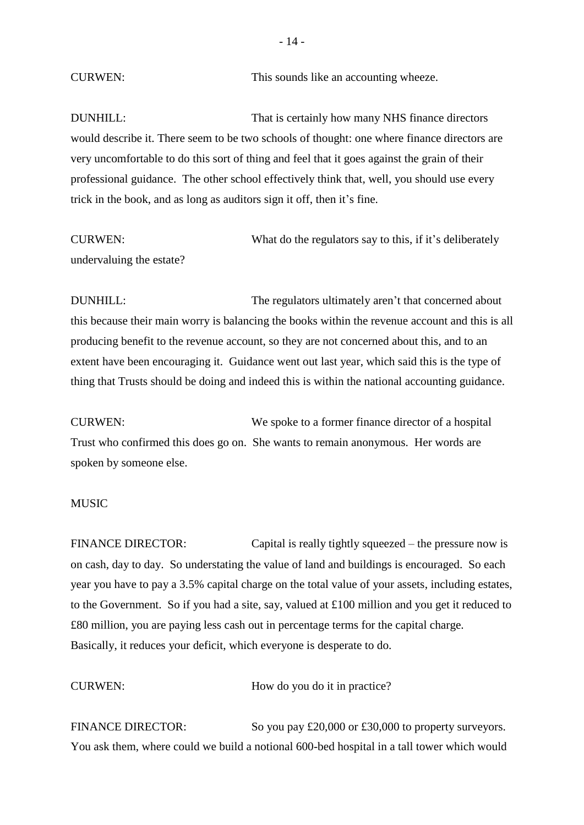CURWEN: This sounds like an accounting wheeze.

DUNHILL: That is certainly how many NHS finance directors would describe it. There seem to be two schools of thought: one where finance directors are very uncomfortable to do this sort of thing and feel that it goes against the grain of their professional guidance. The other school effectively think that, well, you should use every trick in the book, and as long as auditors sign it off, then it's fine.

CURWEN: What do the regulators say to this, if it's deliberately undervaluing the estate?

DUNHILL: The regulators ultimately aren't that concerned about this because their main worry is balancing the books within the revenue account and this is all producing benefit to the revenue account, so they are not concerned about this, and to an extent have been encouraging it. Guidance went out last year, which said this is the type of thing that Trusts should be doing and indeed this is within the national accounting guidance.

CURWEN: We spoke to a former finance director of a hospital Trust who confirmed this does go on. She wants to remain anonymous. Her words are spoken by someone else.

### **MUSIC**

FINANCE DIRECTOR: Capital is really tightly squeezed – the pressure now is on cash, day to day. So understating the value of land and buildings is encouraged. So each year you have to pay a 3.5% capital charge on the total value of your assets, including estates, to the Government. So if you had a site, say, valued at £100 million and you get it reduced to £80 million, you are paying less cash out in percentage terms for the capital charge. Basically, it reduces your deficit, which everyone is desperate to do.

CURWEN: How do you do it in practice?

FINANCE DIRECTOR: So you pay £20,000 or £30,000 to property surveyors. You ask them, where could we build a notional 600-bed hospital in a tall tower which would

- 14 -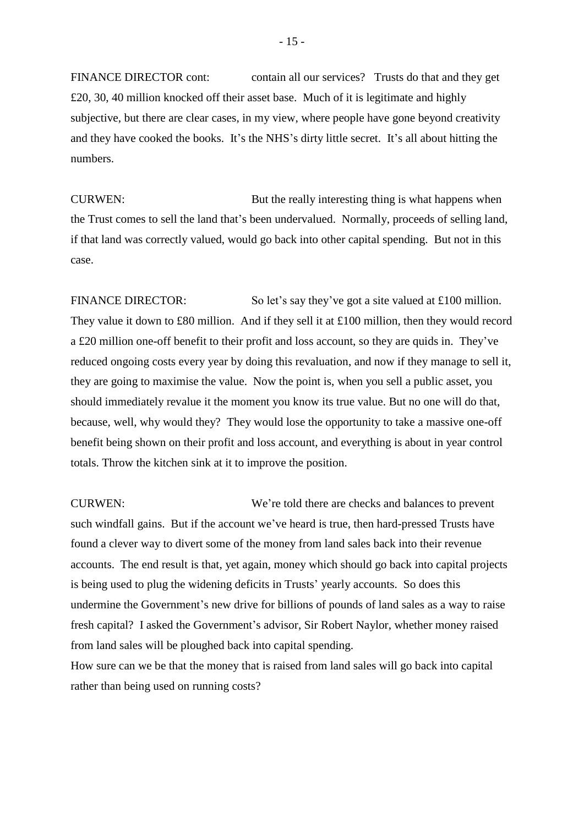FINANCE DIRECTOR cont: contain all our services? Trusts do that and they get £20, 30, 40 million knocked off their asset base. Much of it is legitimate and highly subjective, but there are clear cases, in my view, where people have gone beyond creativity and they have cooked the books. It's the NHS's dirty little secret. It's all about hitting the numbers.

CURWEN: But the really interesting thing is what happens when the Trust comes to sell the land that's been undervalued. Normally, proceeds of selling land, if that land was correctly valued, would go back into other capital spending. But not in this case.

FINANCE DIRECTOR: So let's say they've got a site valued at £100 million. They value it down to £80 million. And if they sell it at £100 million, then they would record a £20 million one-off benefit to their profit and loss account, so they are quids in. They've reduced ongoing costs every year by doing this revaluation, and now if they manage to sell it, they are going to maximise the value. Now the point is, when you sell a public asset, you should immediately revalue it the moment you know its true value. But no one will do that, because, well, why would they? They would lose the opportunity to take a massive one-off benefit being shown on their profit and loss account, and everything is about in year control totals. Throw the kitchen sink at it to improve the position.

CURWEN: We're told there are checks and balances to prevent such windfall gains. But if the account we've heard is true, then hard-pressed Trusts have found a clever way to divert some of the money from land sales back into their revenue accounts. The end result is that, yet again, money which should go back into capital projects is being used to plug the widening deficits in Trusts' yearly accounts. So does this undermine the Government's new drive for billions of pounds of land sales as a way to raise fresh capital? I asked the Government's advisor, Sir Robert Naylor, whether money raised from land sales will be ploughed back into capital spending.

How sure can we be that the money that is raised from land sales will go back into capital rather than being used on running costs?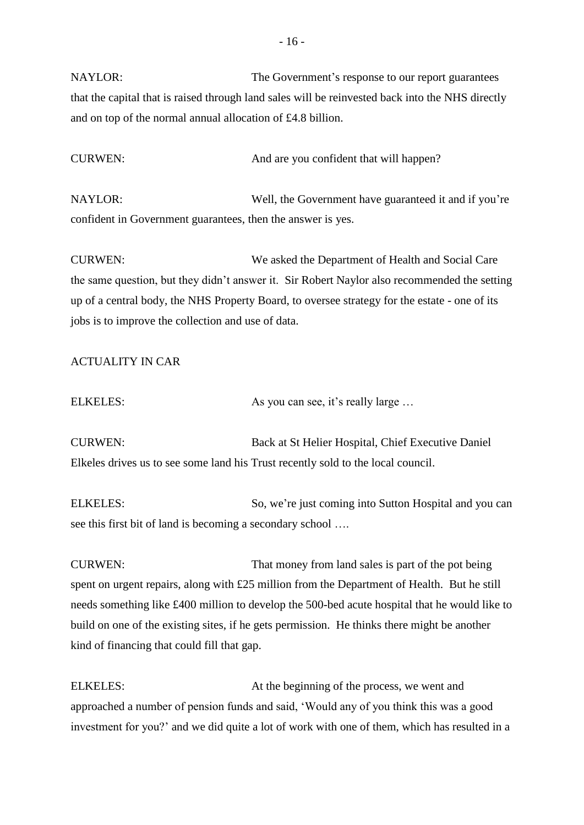NAYLOR: The Government's response to our report guarantees that the capital that is raised through land sales will be reinvested back into the NHS directly and on top of the normal annual allocation of £4.8 billion.

CURWEN: And are you confident that will happen?

NAYLOR: Well, the Government have guaranteed it and if you're confident in Government guarantees, then the answer is yes.

CURWEN: We asked the Department of Health and Social Care the same question, but they didn't answer it. Sir Robert Naylor also recommended the setting up of a central body, the NHS Property Board, to oversee strategy for the estate - one of its jobs is to improve the collection and use of data.

# ACTUALITY IN CAR

| <b>ELKELES:</b> | As you can see, it's really large |
|-----------------|-----------------------------------|
|-----------------|-----------------------------------|

CURWEN: Back at St Helier Hospital, Chief Executive Daniel Elkeles drives us to see some land his Trust recently sold to the local council.

ELKELES: So, we're just coming into Sutton Hospital and you can see this first bit of land is becoming a secondary school ….

CURWEN: That money from land sales is part of the pot being spent on urgent repairs, along with £25 million from the Department of Health. But he still needs something like £400 million to develop the 500-bed acute hospital that he would like to build on one of the existing sites, if he gets permission. He thinks there might be another kind of financing that could fill that gap.

ELKELES: At the beginning of the process, we went and approached a number of pension funds and said, 'Would any of you think this was a good investment for you?' and we did quite a lot of work with one of them, which has resulted in a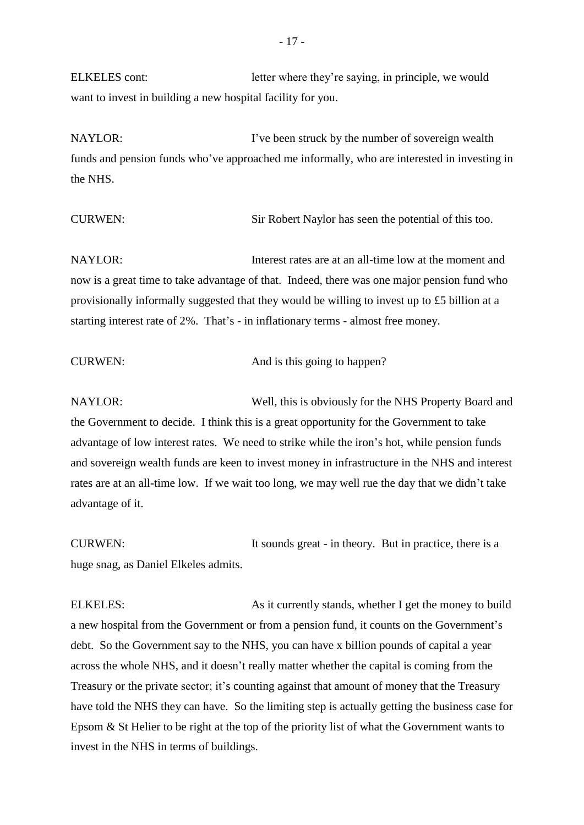ELKELES cont: letter where they're saying, in principle, we would want to invest in building a new hospital facility for you.

NAYLOR: I've been struck by the number of sovereign wealth funds and pension funds who've approached me informally, who are interested in investing in the NHS.

CURWEN: Sir Robert Naylor has seen the potential of this too.

NAYLOR: Interest rates are at an all-time low at the moment and now is a great time to take advantage of that. Indeed, there was one major pension fund who provisionally informally suggested that they would be willing to invest up to £5 billion at a starting interest rate of 2%. That's - in inflationary terms - almost free money.

| <b>CURWEN:</b> | And is this going to happen? |
|----------------|------------------------------|
|----------------|------------------------------|

NAYLOR: Well, this is obviously for the NHS Property Board and the Government to decide. I think this is a great opportunity for the Government to take advantage of low interest rates. We need to strike while the iron's hot, while pension funds and sovereign wealth funds are keen to invest money in infrastructure in the NHS and interest rates are at an all-time low. If we wait too long, we may well rue the day that we didn't take advantage of it.

CURWEN: It sounds great - in theory. But in practice, there is a huge snag, as Daniel Elkeles admits.

ELKELES: As it currently stands, whether I get the money to build a new hospital from the Government or from a pension fund, it counts on the Government's debt. So the Government say to the NHS, you can have x billion pounds of capital a year across the whole NHS, and it doesn't really matter whether the capital is coming from the Treasury or the private sector; it's counting against that amount of money that the Treasury have told the NHS they can have. So the limiting step is actually getting the business case for Epsom & St Helier to be right at the top of the priority list of what the Government wants to invest in the NHS in terms of buildings.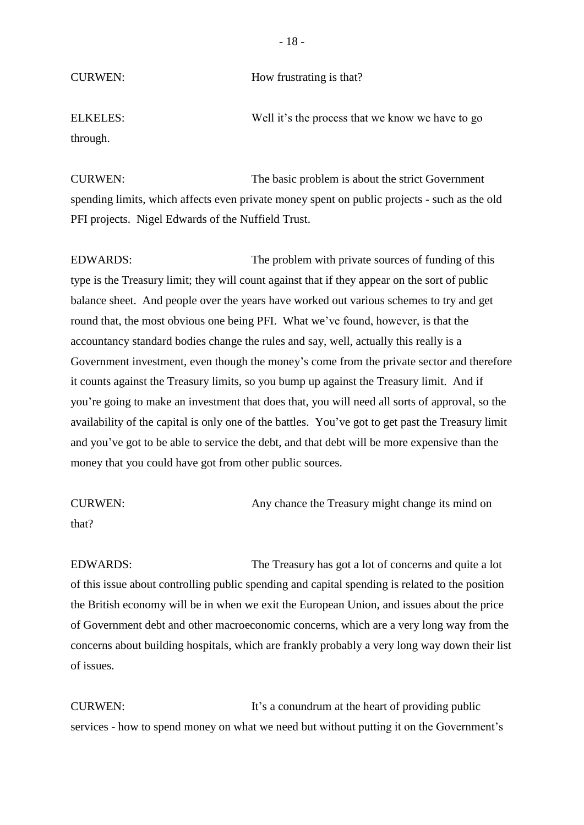CURWEN: How frustrating is that?

ELKELES: Well it's the process that we know we have to go through.

CURWEN: The basic problem is about the strict Government spending limits, which affects even private money spent on public projects - such as the old PFI projects. Nigel Edwards of the Nuffield Trust.

EDWARDS: The problem with private sources of funding of this type is the Treasury limit; they will count against that if they appear on the sort of public balance sheet. And people over the years have worked out various schemes to try and get round that, the most obvious one being PFI. What we've found, however, is that the accountancy standard bodies change the rules and say, well, actually this really is a Government investment, even though the money's come from the private sector and therefore it counts against the Treasury limits, so you bump up against the Treasury limit. And if you're going to make an investment that does that, you will need all sorts of approval, so the availability of the capital is only one of the battles. You've got to get past the Treasury limit and you've got to be able to service the debt, and that debt will be more expensive than the money that you could have got from other public sources.

CURWEN: Any chance the Treasury might change its mind on that?

EDWARDS: The Treasury has got a lot of concerns and quite a lot of this issue about controlling public spending and capital spending is related to the position the British economy will be in when we exit the European Union, and issues about the price of Government debt and other macroeconomic concerns, which are a very long way from the concerns about building hospitals, which are frankly probably a very long way down their list of issues.

CURWEN: It's a conundrum at the heart of providing public services - how to spend money on what we need but without putting it on the Government's

- 18 -